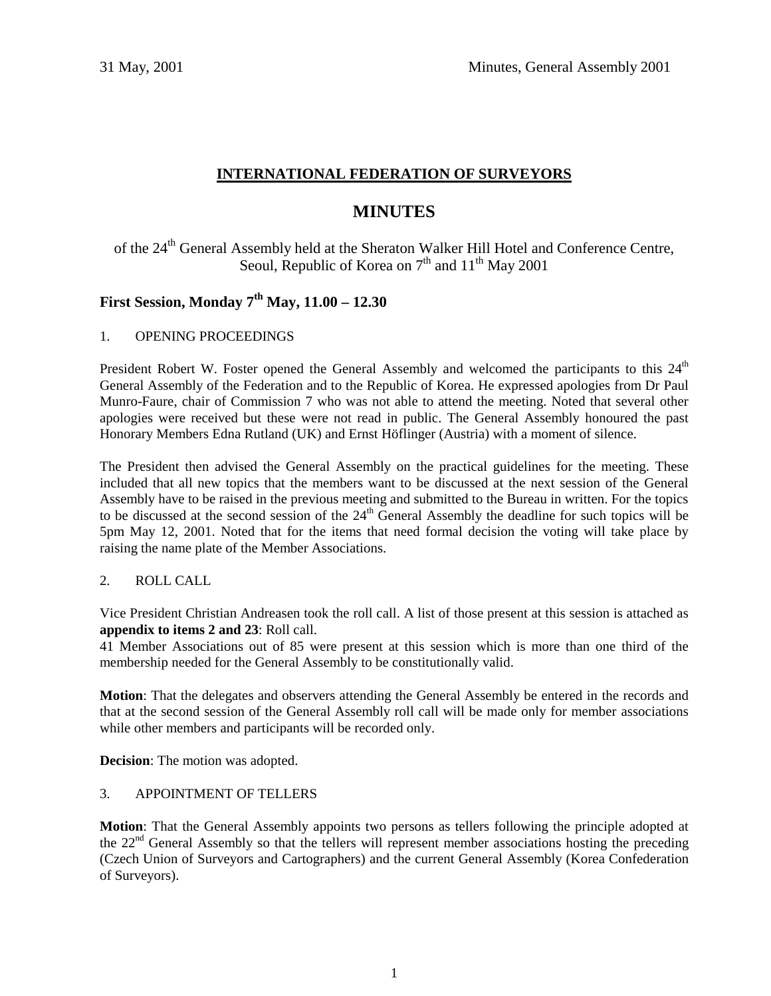# **INTERNATIONAL FEDERATION OF SURVEYORS**

# **MINUTES**

of the 24<sup>th</sup> General Assembly held at the Sheraton Walker Hill Hotel and Conference Centre, Seoul, Republic of Korea on  $7<sup>th</sup>$  and  $11<sup>th</sup>$  May 2001

# **First Session, Monday 7th May, 11.00 – 12.30**

# 1. OPENING PROCEEDINGS

President Robert W. Foster opened the General Assembly and welcomed the participants to this 24<sup>th</sup> General Assembly of the Federation and to the Republic of Korea. He expressed apologies from Dr Paul Munro-Faure, chair of Commission 7 who was not able to attend the meeting. Noted that several other apologies were received but these were not read in public. The General Assembly honoured the past Honorary Members Edna Rutland (UK) and Ernst Höflinger (Austria) with a moment of silence.

The President then advised the General Assembly on the practical guidelines for the meeting. These included that all new topics that the members want to be discussed at the next session of the General Assembly have to be raised in the previous meeting and submitted to the Bureau in written. For the topics to be discussed at the second session of the 24<sup>th</sup> General Assembly the deadline for such topics will be 5pm May 12, 2001. Noted that for the items that need formal decision the voting will take place by raising the name plate of the Member Associations.

# 2. ROLL CALL

Vice President Christian Andreasen took the roll call. A list of those present at this session is attached as **appendix to items 2 and 23**: Roll call.

41 Member Associations out of 85 were present at this session which is more than one third of the membership needed for the General Assembly to be constitutionally valid.

**Motion**: That the delegates and observers attending the General Assembly be entered in the records and that at the second session of the General Assembly roll call will be made only for member associations while other members and participants will be recorded only.

**Decision**: The motion was adopted.

# 3. APPOINTMENT OF TELLERS

**Motion**: That the General Assembly appoints two persons as tellers following the principle adopted at the  $22<sup>nd</sup>$  General Assembly so that the tellers will represent member associations hosting the preceding (Czech Union of Surveyors and Cartographers) and the current General Assembly (Korea Confederation of Surveyors).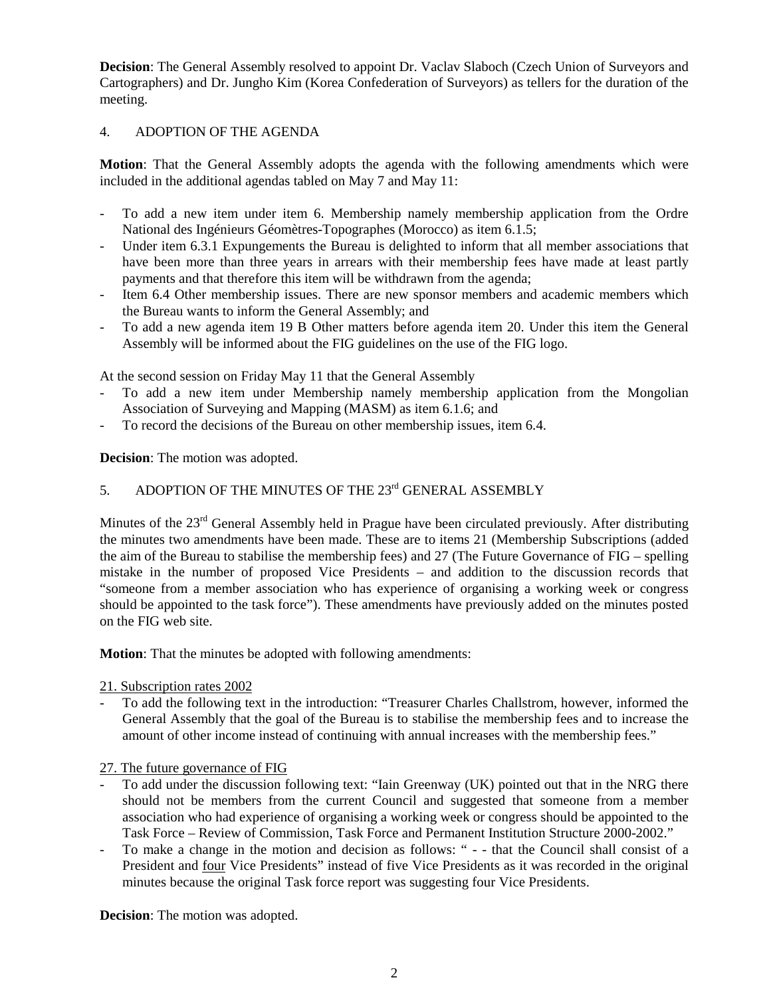**Decision:** The General Assembly resolved to appoint Dr. Vaclav Slaboch (Czech Union of Surveyors and Cartographers) and Dr. Jungho Kim (Korea Confederation of Surveyors) as tellers for the duration of the meeting.

# 4. ADOPTION OF THE AGENDA

**Motion**: That the General Assembly adopts the agenda with the following amendments which were included in the additional agendas tabled on May 7 and May 11:

- To add a new item under item 6. Membership namely membership application from the Ordre National des Ingénieurs Géomètres-Topographes (Morocco) as item 6.1.5;
- Under item 6.3.1 Expungements the Bureau is delighted to inform that all member associations that have been more than three years in arrears with their membership fees have made at least partly payments and that therefore this item will be withdrawn from the agenda;
- Item 6.4 Other membership issues. There are new sponsor members and academic members which the Bureau wants to inform the General Assembly; and
- To add a new agenda item 19 B Other matters before agenda item 20. Under this item the General Assembly will be informed about the FIG guidelines on the use of the FIG logo.

At the second session on Friday May 11 that the General Assembly

- To add a new item under Membership namely membership application from the Mongolian Association of Surveying and Mapping (MASM) as item 6.1.6; and
- To record the decisions of the Bureau on other membership issues, item 6.4.

**Decision**: The motion was adopted.

# 5. ADOPTION OF THE MINUTES OF THE 23<sup>rd</sup> GENERAL ASSEMBLY

Minutes of the 23<sup>rd</sup> General Assembly held in Prague have been circulated previously. After distributing the minutes two amendments have been made. These are to items 21 (Membership Subscriptions (added the aim of the Bureau to stabilise the membership fees) and 27 (The Future Governance of FIG – spelling mistake in the number of proposed Vice Presidents – and addition to the discussion records that "someone from a member association who has experience of organising a working week or congress should be appointed to the task force"). These amendments have previously added on the minutes posted on the FIG web site.

**Motion**: That the minutes be adopted with following amendments:

#### 21. Subscription rates 2002

- To add the following text in the introduction: "Treasurer Charles Challstrom, however, informed the General Assembly that the goal of the Bureau is to stabilise the membership fees and to increase the amount of other income instead of continuing with annual increases with the membership fees."

27. The future governance of FIG

- To add under the discussion following text: "Iain Greenway (UK) pointed out that in the NRG there should not be members from the current Council and suggested that someone from a member association who had experience of organising a working week or congress should be appointed to the Task Force – Review of Commission, Task Force and Permanent Institution Structure 2000-2002."
- To make a change in the motion and decision as follows: " - that the Council shall consist of a President and four Vice Presidents" instead of five Vice Presidents as it was recorded in the original minutes because the original Task force report was suggesting four Vice Presidents.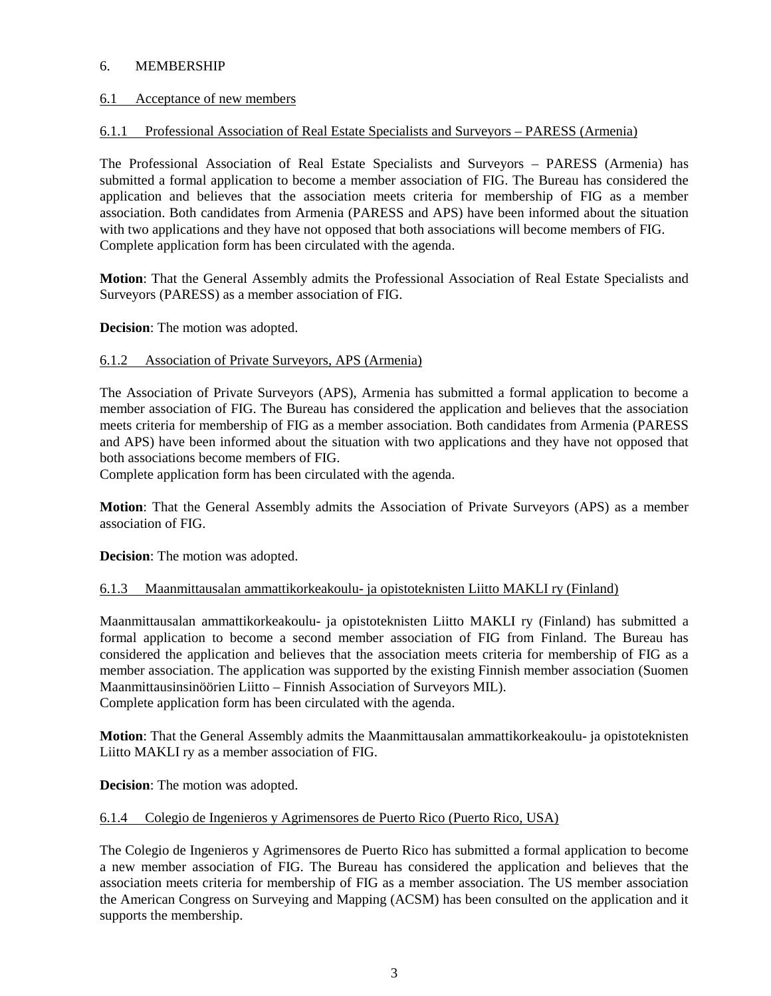# 6. MEMBERSHIP

## 6.1 Acceptance of new members

## 6.1.1 Professional Association of Real Estate Specialists and Surveyors – PARESS (Armenia)

The Professional Association of Real Estate Specialists and Surveyors – PARESS (Armenia) has submitted a formal application to become a member association of FIG. The Bureau has considered the application and believes that the association meets criteria for membership of FIG as a member association. Both candidates from Armenia (PARESS and APS) have been informed about the situation with two applications and they have not opposed that both associations will become members of FIG. Complete application form has been circulated with the agenda.

**Motion**: That the General Assembly admits the Professional Association of Real Estate Specialists and Surveyors (PARESS) as a member association of FIG.

**Decision**: The motion was adopted.

#### 6.1.2 Association of Private Surveyors, APS (Armenia)

The Association of Private Surveyors (APS), Armenia has submitted a formal application to become a member association of FIG. The Bureau has considered the application and believes that the association meets criteria for membership of FIG as a member association. Both candidates from Armenia (PARESS and APS) have been informed about the situation with two applications and they have not opposed that both associations become members of FIG.

Complete application form has been circulated with the agenda.

**Motion**: That the General Assembly admits the Association of Private Surveyors (APS) as a member association of FIG.

**Decision**: The motion was adopted.

#### 6.1.3 Maanmittausalan ammattikorkeakoulu- ja opistoteknisten Liitto MAKLI ry (Finland)

Maanmittausalan ammattikorkeakoulu- ja opistoteknisten Liitto MAKLI ry (Finland) has submitted a formal application to become a second member association of FIG from Finland. The Bureau has considered the application and believes that the association meets criteria for membership of FIG as a member association. The application was supported by the existing Finnish member association (Suomen Maanmittausinsinöörien Liitto – Finnish Association of Surveyors MIL). Complete application form has been circulated with the agenda.

**Motion**: That the General Assembly admits the Maanmittausalan ammattikorkeakoulu- ja opistoteknisten Liitto MAKLI ry as a member association of FIG.

**Decision**: The motion was adopted.

#### 6.1.4 Colegio de Ingenieros y Agrimensores de Puerto Rico (Puerto Rico, USA)

The Colegio de Ingenieros y Agrimensores de Puerto Rico has submitted a formal application to become a new member association of FIG. The Bureau has considered the application and believes that the association meets criteria for membership of FIG as a member association. The US member association the American Congress on Surveying and Mapping (ACSM) has been consulted on the application and it supports the membership.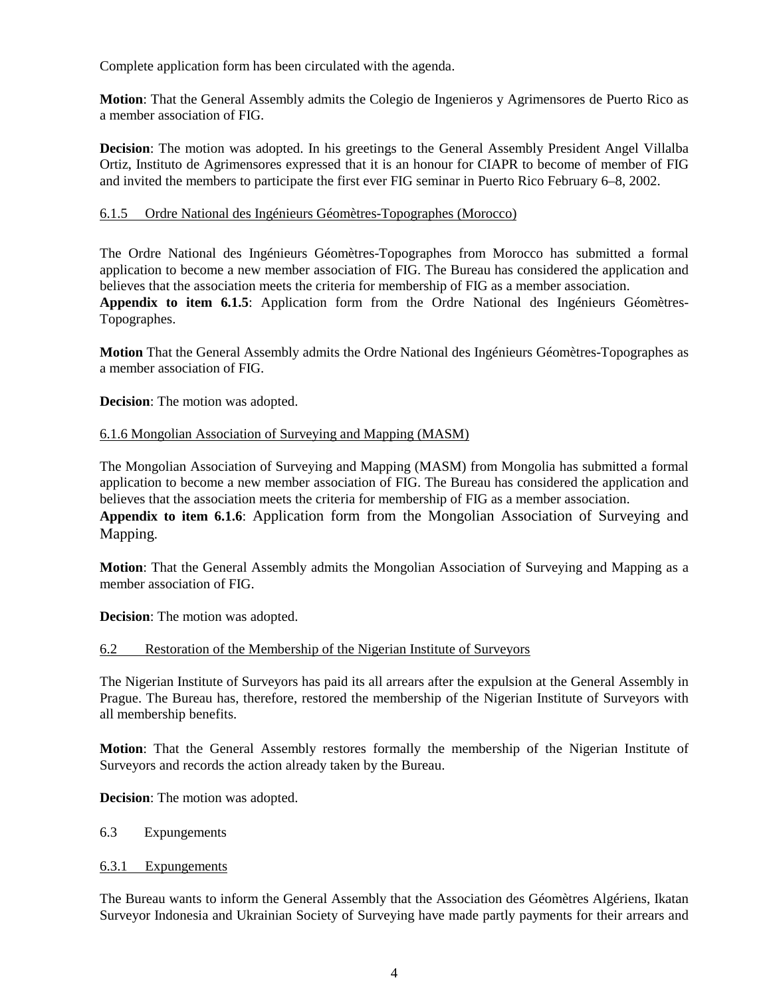Complete application form has been circulated with the agenda.

**Motion**: That the General Assembly admits the Colegio de Ingenieros y Agrimensores de Puerto Rico as a member association of FIG.

**Decision**: The motion was adopted. In his greetings to the General Assembly President Angel Villalba Ortiz, Instituto de Agrimensores expressed that it is an honour for CIAPR to become of member of FIG and invited the members to participate the first ever FIG seminar in Puerto Rico February 6–8, 2002.

## 6.1.5 Ordre National des Ingénieurs Géomètres-Topographes (Morocco)

The Ordre National des Ingénieurs Géomètres-Topographes from Morocco has submitted a formal application to become a new member association of FIG. The Bureau has considered the application and believes that the association meets the criteria for membership of FIG as a member association.

**Appendix to item 6.1.5**: Application form from the Ordre National des Ingénieurs Géomètres-Topographes.

**Motion** That the General Assembly admits the Ordre National des Ingénieurs Géomètres-Topographes as a member association of FIG.

**Decision**: The motion was adopted.

## 6.1.6 Mongolian Association of Surveying and Mapping (MASM)

The Mongolian Association of Surveying and Mapping (MASM) from Mongolia has submitted a formal application to become a new member association of FIG. The Bureau has considered the application and believes that the association meets the criteria for membership of FIG as a member association. **Appendix to item 6.1.6**: Application form from the Mongolian Association of Surveying and Mapping.

**Motion**: That the General Assembly admits the Mongolian Association of Surveying and Mapping as a member association of FIG.

**Decision**: The motion was adopted.

#### 6.2 Restoration of the Membership of the Nigerian Institute of Surveyors

The Nigerian Institute of Surveyors has paid its all arrears after the expulsion at the General Assembly in Prague. The Bureau has, therefore, restored the membership of the Nigerian Institute of Surveyors with all membership benefits.

**Motion**: That the General Assembly restores formally the membership of the Nigerian Institute of Surveyors and records the action already taken by the Bureau.

**Decision**: The motion was adopted.

#### 6.3 Expungements

#### 6.3.1 Expungements

The Bureau wants to inform the General Assembly that the Association des Géomètres Algériens, Ikatan Surveyor Indonesia and Ukrainian Society of Surveying have made partly payments for their arrears and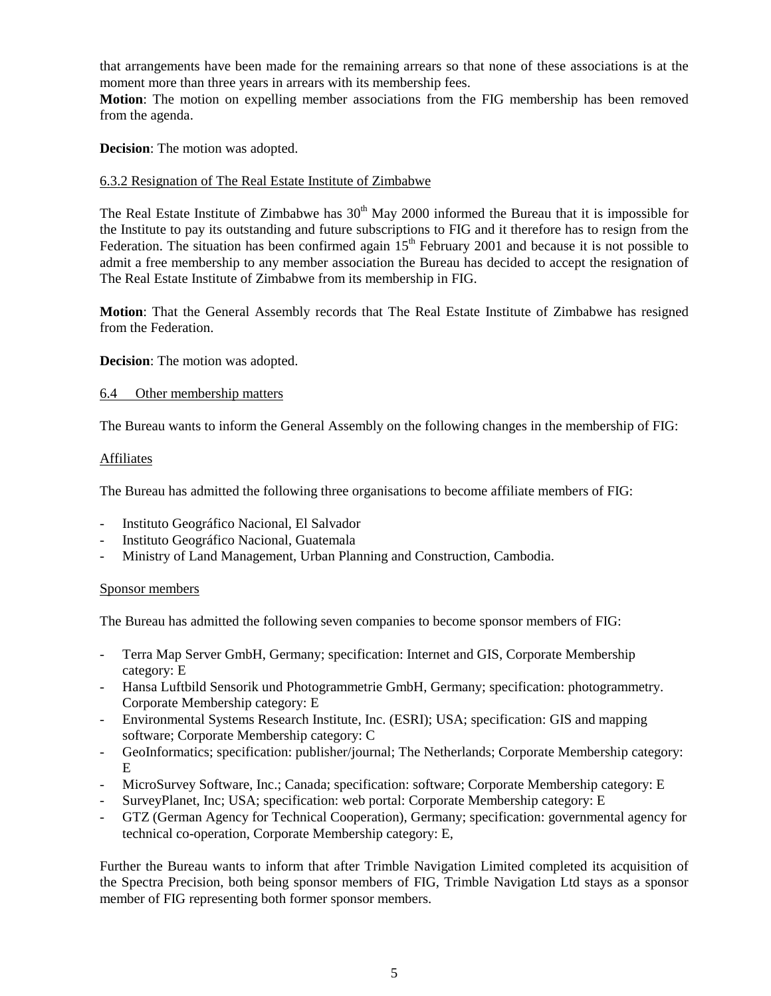that arrangements have been made for the remaining arrears so that none of these associations is at the moment more than three years in arrears with its membership fees.

**Motion**: The motion on expelling member associations from the FIG membership has been removed from the agenda.

**Decision**: The motion was adopted.

## 6.3.2 Resignation of The Real Estate Institute of Zimbabwe

The Real Estate Institute of Zimbabwe has  $30<sup>th</sup>$  May 2000 informed the Bureau that it is impossible for the Institute to pay its outstanding and future subscriptions to FIG and it therefore has to resign from the Federation. The situation has been confirmed again  $15<sup>th</sup>$  February 2001 and because it is not possible to admit a free membership to any member association the Bureau has decided to accept the resignation of The Real Estate Institute of Zimbabwe from its membership in FIG.

**Motion**: That the General Assembly records that The Real Estate Institute of Zimbabwe has resigned from the Federation.

**Decision**: The motion was adopted.

#### 6.4 Other membership matters

The Bureau wants to inform the General Assembly on the following changes in the membership of FIG:

#### Affiliates

The Bureau has admitted the following three organisations to become affiliate members of FIG:

- Instituto Geográfico Nacional, El Salvador
- Instituto Geográfico Nacional, Guatemala
- Ministry of Land Management, Urban Planning and Construction, Cambodia.

#### Sponsor members

The Bureau has admitted the following seven companies to become sponsor members of FIG:

- Terra Map Server GmbH, Germany; specification: Internet and GIS, Corporate Membership category: E
- Hansa Luftbild Sensorik und Photogrammetrie GmbH, Germany; specification: photogrammetry. Corporate Membership category: E
- Environmental Systems Research Institute, Inc. (ESRI); USA; specification: GIS and mapping software; Corporate Membership category: C
- GeoInformatics; specification: publisher/journal; The Netherlands; Corporate Membership category: E
- MicroSurvey Software, Inc.; Canada; specification: software; Corporate Membership category: E
- SurveyPlanet, Inc; USA; specification: web portal: Corporate Membership category: E
- GTZ (German Agency for Technical Cooperation), Germany; specification: governmental agency for technical co-operation, Corporate Membership category: E,

Further the Bureau wants to inform that after Trimble Navigation Limited completed its acquisition of the Spectra Precision, both being sponsor members of FIG, Trimble Navigation Ltd stays as a sponsor member of FIG representing both former sponsor members.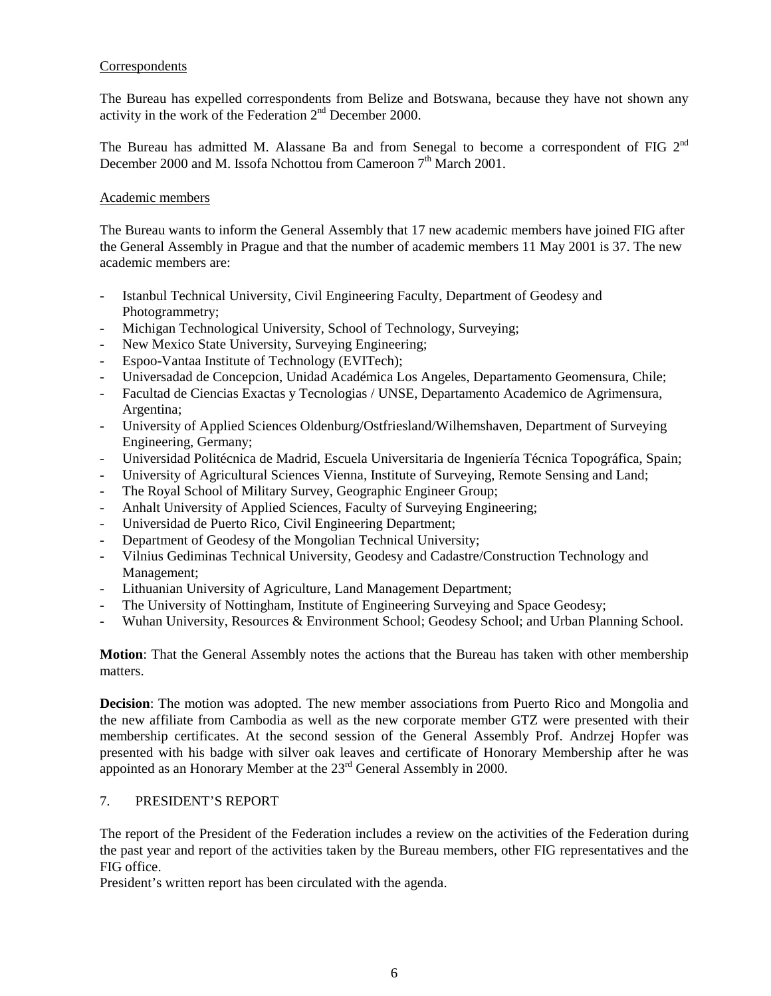## Correspondents

The Bureau has expelled correspondents from Belize and Botswana, because they have not shown any activity in the work of the Federation  $2<sup>nd</sup>$  December 2000.

The Bureau has admitted M. Alassane Ba and from Senegal to become a correspondent of FIG  $2<sup>nd</sup>$ December 2000 and M. Issofa Nchottou from Cameroon 7<sup>th</sup> March 2001.

## Academic members

The Bureau wants to inform the General Assembly that 17 new academic members have joined FIG after the General Assembly in Prague and that the number of academic members 11 May 2001 is 37. The new academic members are:

- Istanbul Technical University, Civil Engineering Faculty, Department of Geodesy and Photogrammetry;
- Michigan Technological University, School of Technology, Surveying;
- New Mexico State University, Surveying Engineering;
- Espoo-Vantaa Institute of Technology (EVITech);
- Universadad de Concepcion, Unidad Académica Los Angeles, Departamento Geomensura, Chile;
- Facultad de Ciencias Exactas y Tecnologias / UNSE, Departamento Academico de Agrimensura, Argentina;
- University of Applied Sciences Oldenburg/Ostfriesland/Wilhemshaven, Department of Surveying Engineering, Germany;
- Universidad Politécnica de Madrid, Escuela Universitaria de Ingeniería Técnica Topográfica, Spain;
- University of Agricultural Sciences Vienna, Institute of Surveying, Remote Sensing and Land;
- The Royal School of Military Survey, Geographic Engineer Group;
- Anhalt University of Applied Sciences, Faculty of Surveying Engineering;
- Universidad de Puerto Rico, Civil Engineering Department;
- Department of Geodesy of the Mongolian Technical University;
- Vilnius Gediminas Technical University, Geodesy and Cadastre/Construction Technology and Management;
- Lithuanian University of Agriculture, Land Management Department;
- The University of Nottingham, Institute of Engineering Surveying and Space Geodesy;
- Wuhan University, Resources & Environment School; Geodesy School; and Urban Planning School.

**Motion**: That the General Assembly notes the actions that the Bureau has taken with other membership matters.

**Decision**: The motion was adopted. The new member associations from Puerto Rico and Mongolia and the new affiliate from Cambodia as well as the new corporate member GTZ were presented with their membership certificates. At the second session of the General Assembly Prof. Andrzej Hopfer was presented with his badge with silver oak leaves and certificate of Honorary Membership after he was appointed as an Honorary Member at the 23<sup>rd</sup> General Assembly in 2000.

#### 7. PRESIDENT'S REPORT

The report of the President of the Federation includes a review on the activities of the Federation during the past year and report of the activities taken by the Bureau members, other FIG representatives and the FIG office.

President's written report has been circulated with the agenda.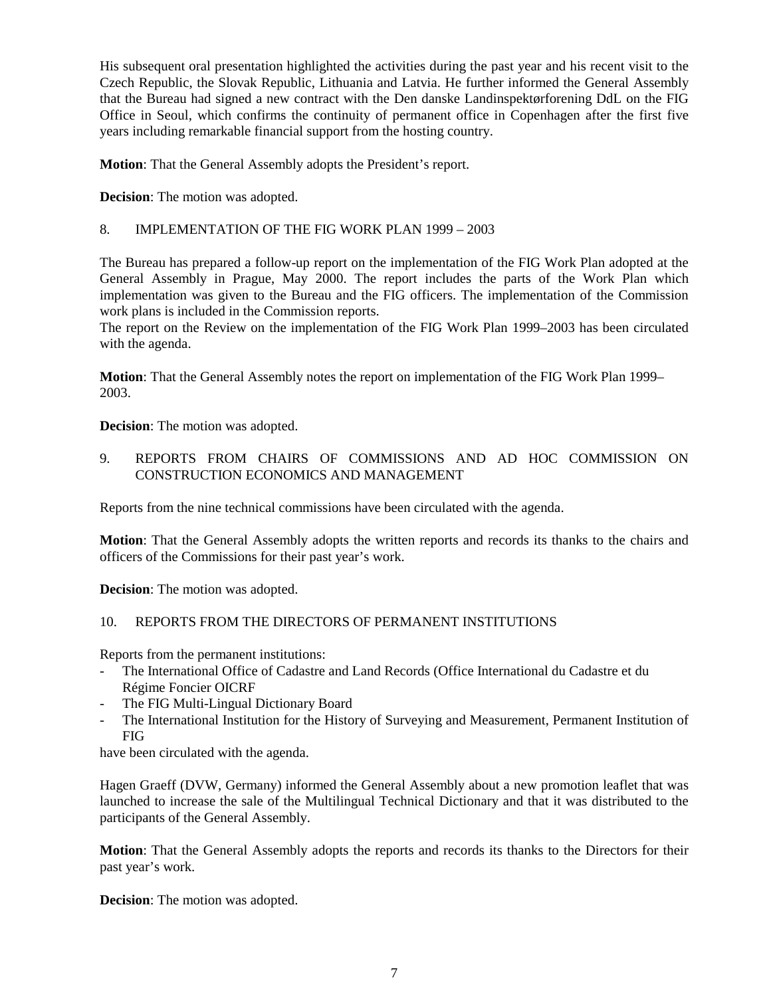His subsequent oral presentation highlighted the activities during the past year and his recent visit to the Czech Republic, the Slovak Republic, Lithuania and Latvia. He further informed the General Assembly that the Bureau had signed a new contract with the Den danske Landinspektørforening DdL on the FIG Office in Seoul, which confirms the continuity of permanent office in Copenhagen after the first five years including remarkable financial support from the hosting country.

**Motion**: That the General Assembly adopts the President's report.

**Decision**: The motion was adopted.

8. IMPLEMENTATION OF THE FIG WORK PLAN 1999 – 2003

The Bureau has prepared a follow-up report on the implementation of the FIG Work Plan adopted at the General Assembly in Prague, May 2000. The report includes the parts of the Work Plan which implementation was given to the Bureau and the FIG officers. The implementation of the Commission work plans is included in the Commission reports.

The report on the Review on the implementation of the FIG Work Plan 1999–2003 has been circulated with the agenda.

**Motion**: That the General Assembly notes the report on implementation of the FIG Work Plan 1999– 2003.

**Decision**: The motion was adopted.

9. REPORTS FROM CHAIRS OF COMMISSIONS AND AD HOC COMMISSION ON CONSTRUCTION ECONOMICS AND MANAGEMENT

Reports from the nine technical commissions have been circulated with the agenda.

**Motion**: That the General Assembly adopts the written reports and records its thanks to the chairs and officers of the Commissions for their past year's work.

**Decision**: The motion was adopted.

#### 10. REPORTS FROM THE DIRECTORS OF PERMANENT INSTITUTIONS

Reports from the permanent institutions:

- The International Office of Cadastre and Land Records (Office International du Cadastre et du Régime Foncier OICRF
- The FIG Multi-Lingual Dictionary Board
- The International Institution for the History of Surveying and Measurement, Permanent Institution of FIG

have been circulated with the agenda.

Hagen Graeff (DVW, Germany) informed the General Assembly about a new promotion leaflet that was launched to increase the sale of the Multilingual Technical Dictionary and that it was distributed to the participants of the General Assembly.

**Motion**: That the General Assembly adopts the reports and records its thanks to the Directors for their past year's work.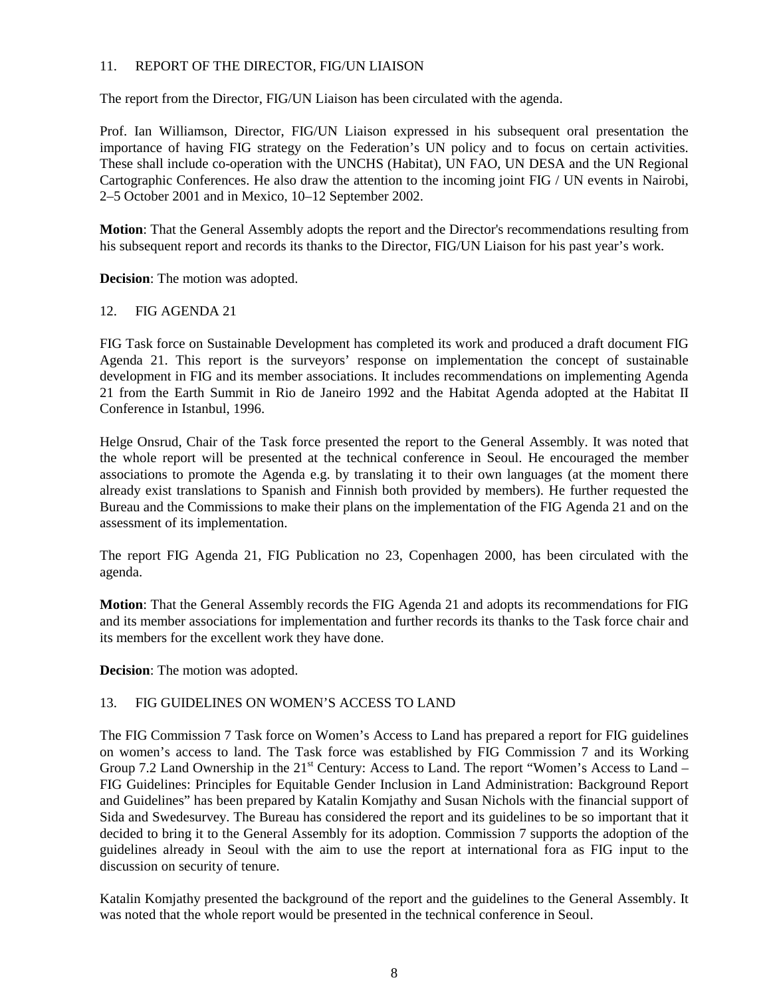## 11. REPORT OF THE DIRECTOR, FIG/UN LIAISON

The report from the Director, FIG/UN Liaison has been circulated with the agenda.

Prof. Ian Williamson, Director, FIG/UN Liaison expressed in his subsequent oral presentation the importance of having FIG strategy on the Federation's UN policy and to focus on certain activities. These shall include co-operation with the UNCHS (Habitat), UN FAO, UN DESA and the UN Regional Cartographic Conferences. He also draw the attention to the incoming joint FIG / UN events in Nairobi, 2–5 October 2001 and in Mexico, 10–12 September 2002.

**Motion**: That the General Assembly adopts the report and the Director's recommendations resulting from his subsequent report and records its thanks to the Director, FIG/UN Liaison for his past year's work.

**Decision**: The motion was adopted.

#### 12. FIG AGENDA 21

FIG Task force on Sustainable Development has completed its work and produced a draft document FIG Agenda 21. This report is the surveyors' response on implementation the concept of sustainable development in FIG and its member associations. It includes recommendations on implementing Agenda 21 from the Earth Summit in Rio de Janeiro 1992 and the Habitat Agenda adopted at the Habitat II Conference in Istanbul, 1996.

Helge Onsrud, Chair of the Task force presented the report to the General Assembly. It was noted that the whole report will be presented at the technical conference in Seoul. He encouraged the member associations to promote the Agenda e.g. by translating it to their own languages (at the moment there already exist translations to Spanish and Finnish both provided by members). He further requested the Bureau and the Commissions to make their plans on the implementation of the FIG Agenda 21 and on the assessment of its implementation.

The report FIG Agenda 21, FIG Publication no 23, Copenhagen 2000, has been circulated with the agenda.

**Motion**: That the General Assembly records the FIG Agenda 21 and adopts its recommendations for FIG and its member associations for implementation and further records its thanks to the Task force chair and its members for the excellent work they have done.

**Decision**: The motion was adopted.

#### 13. FIG GUIDELINES ON WOMEN'S ACCESS TO LAND

The FIG Commission 7 Task force on Women's Access to Land has prepared a report for FIG guidelines on women's access to land. The Task force was established by FIG Commission 7 and its Working Group 7.2 Land Ownership in the 21<sup>st</sup> Century: Access to Land. The report "Women's Access to Land – FIG Guidelines: Principles for Equitable Gender Inclusion in Land Administration: Background Report and Guidelines" has been prepared by Katalin Komjathy and Susan Nichols with the financial support of Sida and Swedesurvey. The Bureau has considered the report and its guidelines to be so important that it decided to bring it to the General Assembly for its adoption. Commission 7 supports the adoption of the guidelines already in Seoul with the aim to use the report at international fora as FIG input to the discussion on security of tenure.

Katalin Komjathy presented the background of the report and the guidelines to the General Assembly. It was noted that the whole report would be presented in the technical conference in Seoul.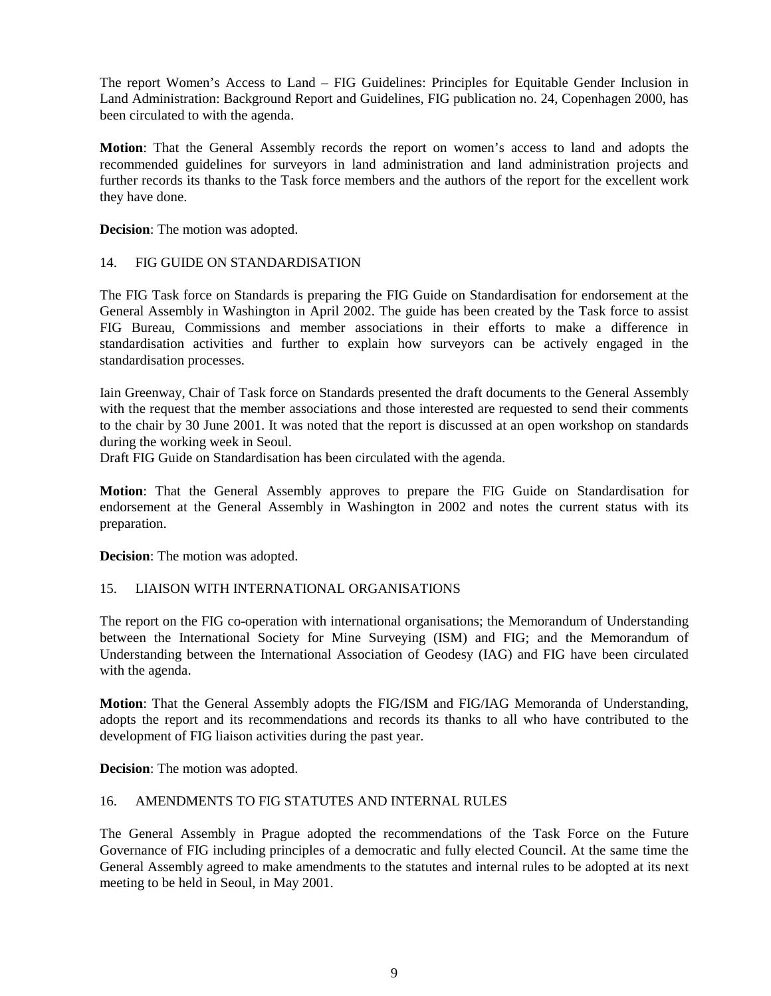The report Women's Access to Land – FIG Guidelines: Principles for Equitable Gender Inclusion in Land Administration: Background Report and Guidelines, FIG publication no. 24, Copenhagen 2000, has been circulated to with the agenda.

**Motion**: That the General Assembly records the report on women's access to land and adopts the recommended guidelines for surveyors in land administration and land administration projects and further records its thanks to the Task force members and the authors of the report for the excellent work they have done.

**Decision**: The motion was adopted.

#### 14. FIG GUIDE ON STANDARDISATION

The FIG Task force on Standards is preparing the FIG Guide on Standardisation for endorsement at the General Assembly in Washington in April 2002. The guide has been created by the Task force to assist FIG Bureau, Commissions and member associations in their efforts to make a difference in standardisation activities and further to explain how surveyors can be actively engaged in the standardisation processes.

Iain Greenway, Chair of Task force on Standards presented the draft documents to the General Assembly with the request that the member associations and those interested are requested to send their comments to the chair by 30 June 2001. It was noted that the report is discussed at an open workshop on standards during the working week in Seoul.

Draft FIG Guide on Standardisation has been circulated with the agenda.

**Motion**: That the General Assembly approves to prepare the FIG Guide on Standardisation for endorsement at the General Assembly in Washington in 2002 and notes the current status with its preparation.

**Decision**: The motion was adopted.

#### 15. LIAISON WITH INTERNATIONAL ORGANISATIONS

The report on the FIG co-operation with international organisations; the Memorandum of Understanding between the International Society for Mine Surveying (ISM) and FIG; and the Memorandum of Understanding between the International Association of Geodesy (IAG) and FIG have been circulated with the agenda.

**Motion**: That the General Assembly adopts the FIG/ISM and FIG/IAG Memoranda of Understanding, adopts the report and its recommendations and records its thanks to all who have contributed to the development of FIG liaison activities during the past year.

**Decision**: The motion was adopted.

#### 16. AMENDMENTS TO FIG STATUTES AND INTERNAL RULES

The General Assembly in Prague adopted the recommendations of the Task Force on the Future Governance of FIG including principles of a democratic and fully elected Council. At the same time the General Assembly agreed to make amendments to the statutes and internal rules to be adopted at its next meeting to be held in Seoul, in May 2001.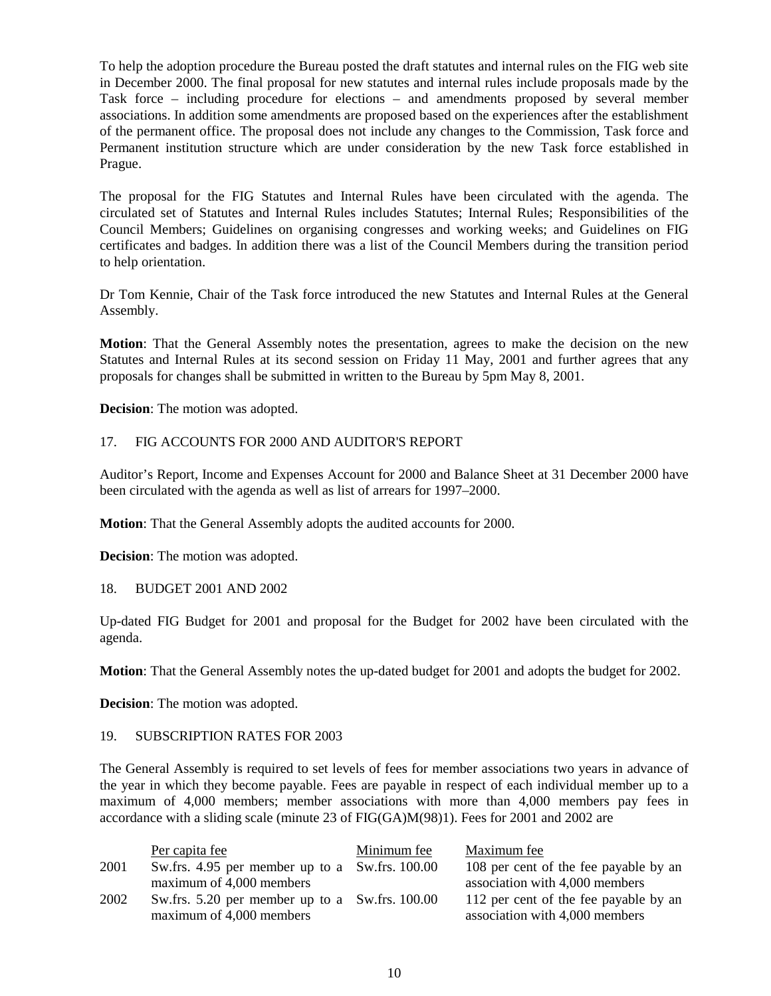To help the adoption procedure the Bureau posted the draft statutes and internal rules on the FIG web site in December 2000. The final proposal for new statutes and internal rules include proposals made by the Task force – including procedure for elections – and amendments proposed by several member associations. In addition some amendments are proposed based on the experiences after the establishment of the permanent office. The proposal does not include any changes to the Commission, Task force and Permanent institution structure which are under consideration by the new Task force established in Prague.

The proposal for the FIG Statutes and Internal Rules have been circulated with the agenda. The circulated set of Statutes and Internal Rules includes Statutes; Internal Rules; Responsibilities of the Council Members; Guidelines on organising congresses and working weeks; and Guidelines on FIG certificates and badges. In addition there was a list of the Council Members during the transition period to help orientation.

Dr Tom Kennie, Chair of the Task force introduced the new Statutes and Internal Rules at the General Assembly.

**Motion**: That the General Assembly notes the presentation, agrees to make the decision on the new Statutes and Internal Rules at its second session on Friday 11 May, 2001 and further agrees that any proposals for changes shall be submitted in written to the Bureau by 5pm May 8, 2001.

**Decision**: The motion was adopted.

#### 17. FIG ACCOUNTS FOR 2000 AND AUDITOR'S REPORT

Auditor's Report, Income and Expenses Account for 2000 and Balance Sheet at 31 December 2000 have been circulated with the agenda as well as list of arrears for 1997–2000.

**Motion**: That the General Assembly adopts the audited accounts for 2000.

**Decision**: The motion was adopted.

18. BUDGET 2001 AND 2002

Up-dated FIG Budget for 2001 and proposal for the Budget for 2002 have been circulated with the agenda.

**Motion**: That the General Assembly notes the up-dated budget for 2001 and adopts the budget for 2002.

**Decision**: The motion was adopted.

#### 19. SUBSCRIPTION RATES FOR 2003

The General Assembly is required to set levels of fees for member associations two years in advance of the year in which they become payable. Fees are payable in respect of each individual member up to a maximum of 4,000 members; member associations with more than 4,000 members pay fees in accordance with a sliding scale (minute 23 of FIG(GA)M(98)1). Fees for 2001 and 2002 are

|      | Per capita fee                                 | Minimum fee | Maximum fee                           |
|------|------------------------------------------------|-------------|---------------------------------------|
| 2001 | Sw.frs. 4.95 per member up to a Sw.frs. 100.00 |             | 108 per cent of the fee payable by an |
|      | maximum of 4,000 members                       |             | association with 4,000 members        |
| 2002 | Sw.frs. 5.20 per member up to a Sw.frs. 100.00 |             | 112 per cent of the fee payable by an |
|      | maximum of 4,000 members                       |             | association with 4,000 members        |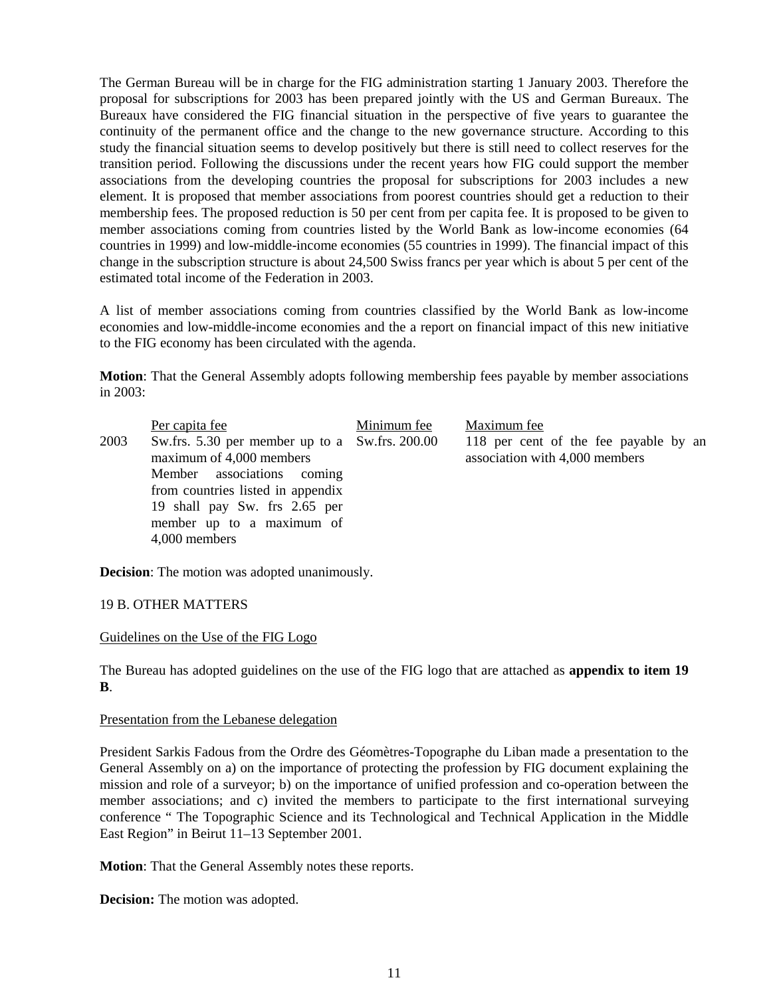The German Bureau will be in charge for the FIG administration starting 1 January 2003. Therefore the proposal for subscriptions for 2003 has been prepared jointly with the US and German Bureaux. The Bureaux have considered the FIG financial situation in the perspective of five years to guarantee the continuity of the permanent office and the change to the new governance structure. According to this study the financial situation seems to develop positively but there is still need to collect reserves for the transition period. Following the discussions under the recent years how FIG could support the member associations from the developing countries the proposal for subscriptions for 2003 includes a new element. It is proposed that member associations from poorest countries should get a reduction to their membership fees. The proposed reduction is 50 per cent from per capita fee. It is proposed to be given to member associations coming from countries listed by the World Bank as low-income economies (64 countries in 1999) and low-middle-income economies (55 countries in 1999). The financial impact of this change in the subscription structure is about 24,500 Swiss francs per year which is about 5 per cent of the estimated total income of the Federation in 2003.

A list of member associations coming from countries classified by the World Bank as low-income economies and low-middle-income economies and the a report on financial impact of this new initiative to the FIG economy has been circulated with the agenda.

**Motion**: That the General Assembly adopts following membership fees payable by member associations in 2003:

|      | Per capita fee                                                                                                                                                                                                               | Minimum fee | Maximum fee                                                             |
|------|------------------------------------------------------------------------------------------------------------------------------------------------------------------------------------------------------------------------------|-------------|-------------------------------------------------------------------------|
| 2003 | Sw.frs. 5.30 per member up to a Sw.frs. 200.00<br>maximum of 4,000 members<br>Member associations coming<br>from countries listed in appendix<br>19 shall pay Sw. frs 2.65 per<br>member up to a maximum of<br>4,000 members |             | 118 per cent of the fee payable by an<br>association with 4,000 members |

**Decision**: The motion was adopted unanimously.

#### 19 B. OTHER MATTERS

#### Guidelines on the Use of the FIG Logo

The Bureau has adopted guidelines on the use of the FIG logo that are attached as **appendix to item 19 B**.

#### Presentation from the Lebanese delegation

President Sarkis Fadous from the Ordre des Géomètres-Topographe du Liban made a presentation to the General Assembly on a) on the importance of protecting the profession by FIG document explaining the mission and role of a surveyor; b) on the importance of unified profession and co-operation between the member associations; and c) invited the members to participate to the first international surveying conference " The Topographic Science and its Technological and Technical Application in the Middle East Region" in Beirut 11–13 September 2001.

**Motion**: That the General Assembly notes these reports.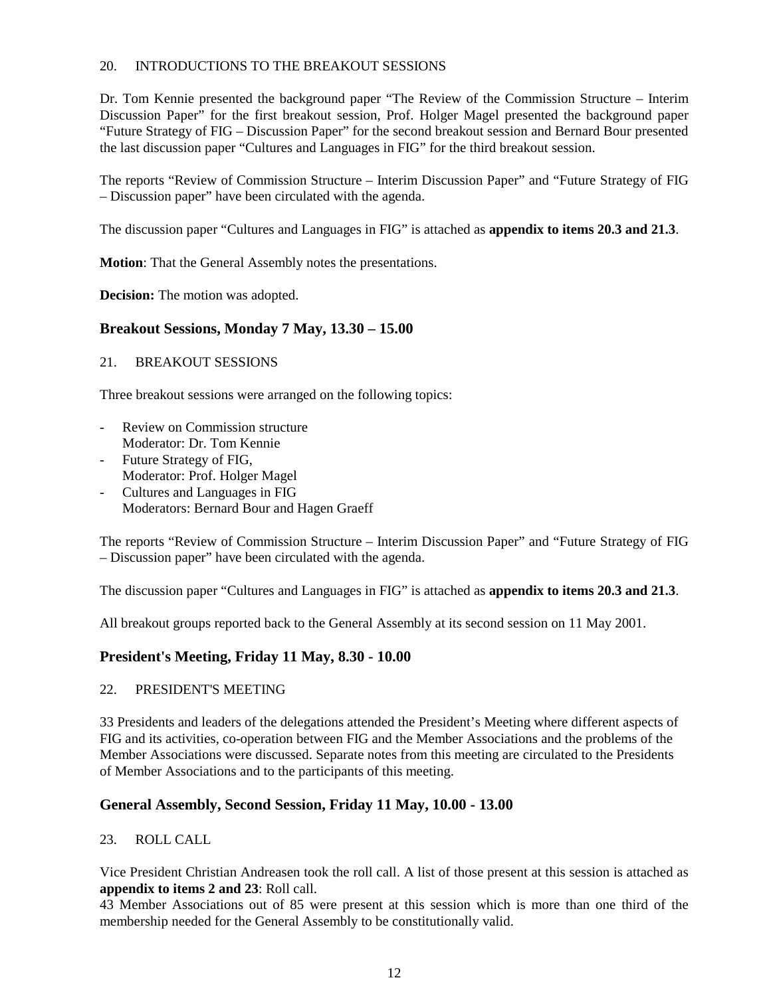## 20. INTRODUCTIONS TO THE BREAKOUT SESSIONS

Dr. Tom Kennie presented the background paper "The Review of the Commission Structure – Interim Discussion Paper" for the first breakout session, Prof. Holger Magel presented the background paper "Future Strategy of FIG – Discussion Paper" for the second breakout session and Bernard Bour presented the last discussion paper "Cultures and Languages in FIG" for the third breakout session.

The reports "Review of Commission Structure – Interim Discussion Paper" and "Future Strategy of FIG – Discussion paper" have been circulated with the agenda.

The discussion paper "Cultures and Languages in FIG" is attached as **appendix to items 20.3 and 21.3**.

**Motion**: That the General Assembly notes the presentations.

**Decision:** The motion was adopted.

# **Breakout Sessions, Monday 7 May, 13.30 – 15.00**

#### 21. BREAKOUT SESSIONS

Three breakout sessions were arranged on the following topics:

- Review on Commission structure Moderator: Dr. Tom Kennie
- Future Strategy of FIG, Moderator: Prof. Holger Magel
- Cultures and Languages in FIG Moderators: Bernard Bour and Hagen Graeff

The reports "Review of Commission Structure – Interim Discussion Paper" and "Future Strategy of FIG – Discussion paper" have been circulated with the agenda.

The discussion paper "Cultures and Languages in FIG" is attached as **appendix to items 20.3 and 21.3**.

All breakout groups reported back to the General Assembly at its second session on 11 May 2001.

# **President's Meeting, Friday 11 May, 8.30 - 10.00**

#### 22. PRESIDENT'S MEETING

33 Presidents and leaders of the delegations attended the President's Meeting where different aspects of FIG and its activities, co-operation between FIG and the Member Associations and the problems of the Member Associations were discussed. Separate notes from this meeting are circulated to the Presidents of Member Associations and to the participants of this meeting.

# **General Assembly, Second Session, Friday 11 May, 10.00 - 13.00**

#### 23. ROLL CALL

Vice President Christian Andreasen took the roll call. A list of those present at this session is attached as **appendix to items 2 and 23**: Roll call.

43 Member Associations out of 85 were present at this session which is more than one third of the membership needed for the General Assembly to be constitutionally valid.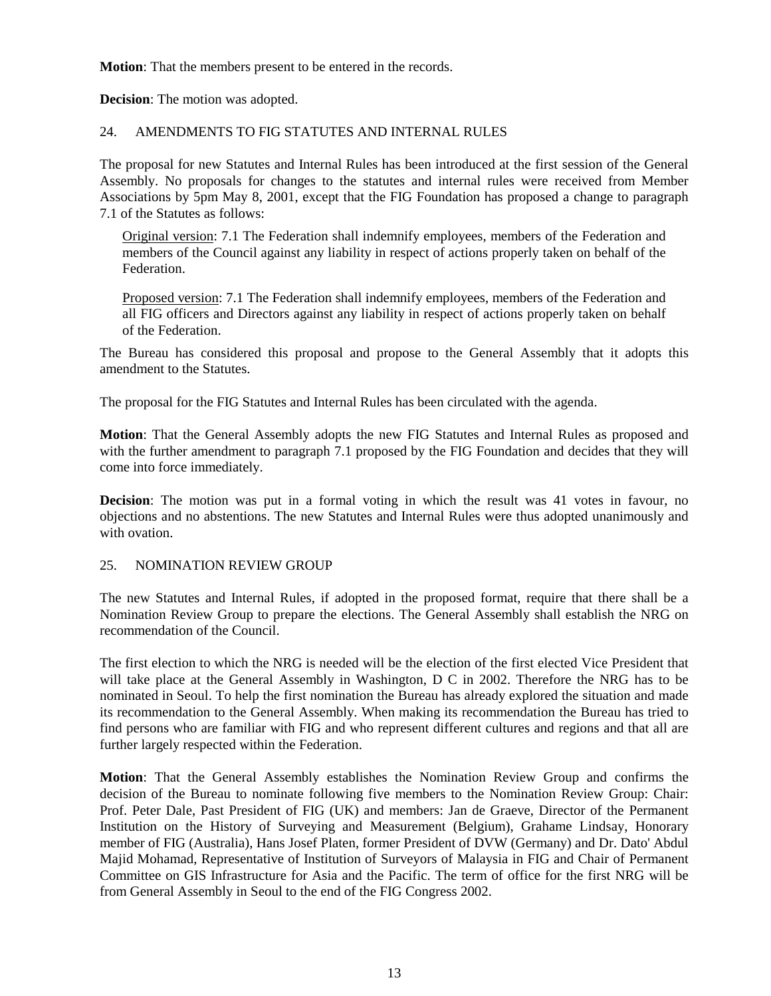**Motion**: That the members present to be entered in the records.

**Decision**: The motion was adopted.

#### 24. AMENDMENTS TO FIG STATUTES AND INTERNAL RULES

The proposal for new Statutes and Internal Rules has been introduced at the first session of the General Assembly. No proposals for changes to the statutes and internal rules were received from Member Associations by 5pm May 8, 2001, except that the FIG Foundation has proposed a change to paragraph 7.1 of the Statutes as follows:

Original version: 7.1 The Federation shall indemnify employees, members of the Federation and members of the Council against any liability in respect of actions properly taken on behalf of the Federation.

Proposed version: 7.1 The Federation shall indemnify employees, members of the Federation and all FIG officers and Directors against any liability in respect of actions properly taken on behalf of the Federation.

The Bureau has considered this proposal and propose to the General Assembly that it adopts this amendment to the Statutes.

The proposal for the FIG Statutes and Internal Rules has been circulated with the agenda.

**Motion**: That the General Assembly adopts the new FIG Statutes and Internal Rules as proposed and with the further amendment to paragraph 7.1 proposed by the FIG Foundation and decides that they will come into force immediately.

**Decision**: The motion was put in a formal voting in which the result was 41 votes in favour, no objections and no abstentions. The new Statutes and Internal Rules were thus adopted unanimously and with ovation.

#### 25. NOMINATION REVIEW GROUP

The new Statutes and Internal Rules, if adopted in the proposed format, require that there shall be a Nomination Review Group to prepare the elections. The General Assembly shall establish the NRG on recommendation of the Council.

The first election to which the NRG is needed will be the election of the first elected Vice President that will take place at the General Assembly in Washington, D C in 2002. Therefore the NRG has to be nominated in Seoul. To help the first nomination the Bureau has already explored the situation and made its recommendation to the General Assembly. When making its recommendation the Bureau has tried to find persons who are familiar with FIG and who represent different cultures and regions and that all are further largely respected within the Federation.

**Motion**: That the General Assembly establishes the Nomination Review Group and confirms the decision of the Bureau to nominate following five members to the Nomination Review Group: Chair: Prof. Peter Dale, Past President of FIG (UK) and members: Jan de Graeve, Director of the Permanent Institution on the History of Surveying and Measurement (Belgium), Grahame Lindsay, Honorary member of FIG (Australia), Hans Josef Platen, former President of DVW (Germany) and Dr. Dato' Abdul Majid Mohamad, Representative of Institution of Surveyors of Malaysia in FIG and Chair of Permanent Committee on GIS Infrastructure for Asia and the Pacific. The term of office for the first NRG will be from General Assembly in Seoul to the end of the FIG Congress 2002.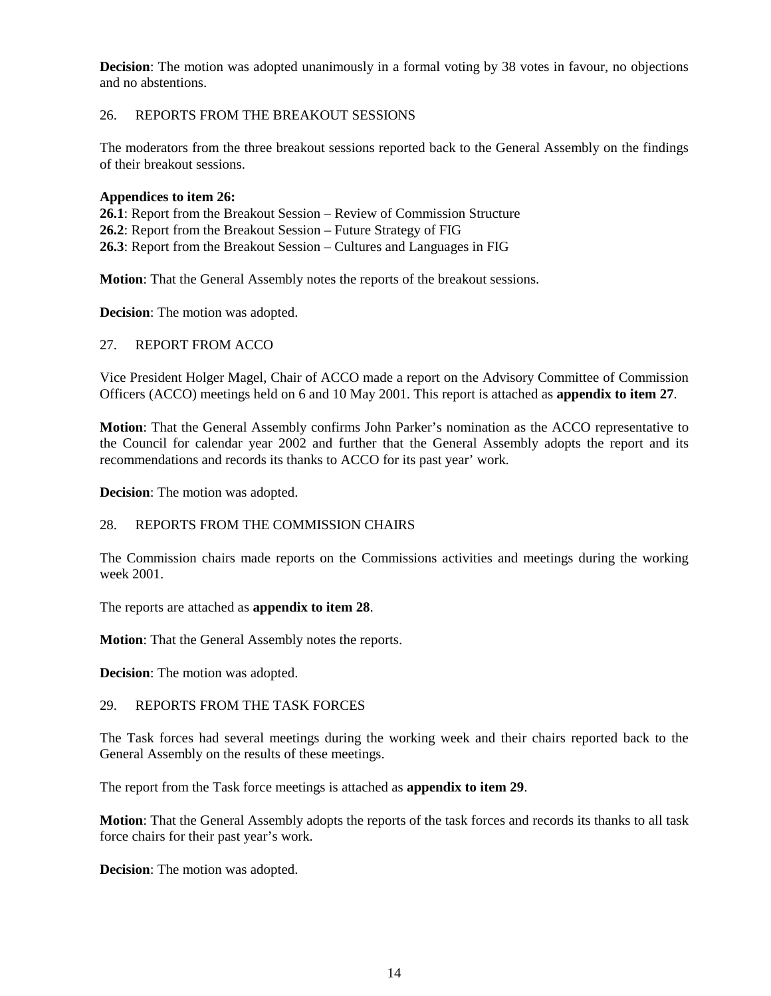**Decision**: The motion was adopted unanimously in a formal voting by 38 votes in favour, no objections and no abstentions.

## 26. REPORTS FROM THE BREAKOUT SESSIONS

The moderators from the three breakout sessions reported back to the General Assembly on the findings of their breakout sessions.

#### **Appendices to item 26:**

**26.1**: Report from the Breakout Session – Review of Commission Structure **26.2**: Report from the Breakout Session – Future Strategy of FIG **26.3**: Report from the Breakout Session – Cultures and Languages in FIG

**Motion**: That the General Assembly notes the reports of the breakout sessions.

**Decision**: The motion was adopted.

## 27. REPORT FROM ACCO

Vice President Holger Magel, Chair of ACCO made a report on the Advisory Committee of Commission Officers (ACCO) meetings held on 6 and 10 May 2001. This report is attached as **appendix to item 27**.

**Motion**: That the General Assembly confirms John Parker's nomination as the ACCO representative to the Council for calendar year 2002 and further that the General Assembly adopts the report and its recommendations and records its thanks to ACCO for its past year' work.

**Decision**: The motion was adopted.

# 28. REPORTS FROM THE COMMISSION CHAIRS

The Commission chairs made reports on the Commissions activities and meetings during the working week 2001.

The reports are attached as **appendix to item 28**.

**Motion**: That the General Assembly notes the reports.

**Decision**: The motion was adopted.

#### 29. REPORTS FROM THE TASK FORCES

The Task forces had several meetings during the working week and their chairs reported back to the General Assembly on the results of these meetings.

The report from the Task force meetings is attached as **appendix to item 29**.

**Motion**: That the General Assembly adopts the reports of the task forces and records its thanks to all task force chairs for their past year's work.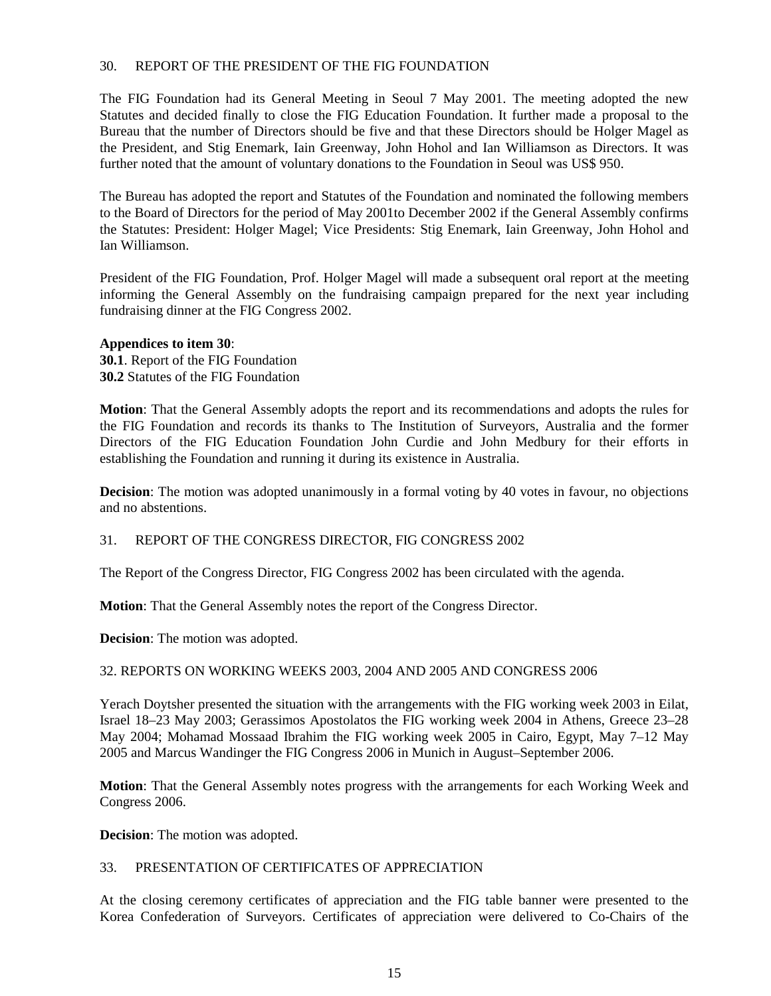## 30. REPORT OF THE PRESIDENT OF THE FIG FOUNDATION

The FIG Foundation had its General Meeting in Seoul 7 May 2001. The meeting adopted the new Statutes and decided finally to close the FIG Education Foundation. It further made a proposal to the Bureau that the number of Directors should be five and that these Directors should be Holger Magel as the President, and Stig Enemark, Iain Greenway, John Hohol and Ian Williamson as Directors. It was further noted that the amount of voluntary donations to the Foundation in Seoul was US\$ 950.

The Bureau has adopted the report and Statutes of the Foundation and nominated the following members to the Board of Directors for the period of May 2001to December 2002 if the General Assembly confirms the Statutes: President: Holger Magel; Vice Presidents: Stig Enemark, Iain Greenway, John Hohol and Ian Williamson.

President of the FIG Foundation, Prof. Holger Magel will made a subsequent oral report at the meeting informing the General Assembly on the fundraising campaign prepared for the next year including fundraising dinner at the FIG Congress 2002.

#### **Appendices to item 30**:

**30.1**. Report of the FIG Foundation **30.2** Statutes of the FIG Foundation

**Motion**: That the General Assembly adopts the report and its recommendations and adopts the rules for the FIG Foundation and records its thanks to The Institution of Surveyors, Australia and the former Directors of the FIG Education Foundation John Curdie and John Medbury for their efforts in establishing the Foundation and running it during its existence in Australia.

**Decision**: The motion was adopted unanimously in a formal voting by 40 votes in favour, no objections and no abstentions.

#### 31. REPORT OF THE CONGRESS DIRECTOR, FIG CONGRESS 2002

The Report of the Congress Director, FIG Congress 2002 has been circulated with the agenda.

**Motion**: That the General Assembly notes the report of the Congress Director.

**Decision**: The motion was adopted.

#### 32. REPORTS ON WORKING WEEKS 2003, 2004 AND 2005 AND CONGRESS 2006

Yerach Doytsher presented the situation with the arrangements with the FIG working week 2003 in Eilat, Israel 18–23 May 2003; Gerassimos Apostolatos the FIG working week 2004 in Athens, Greece 23–28 May 2004; Mohamad Mossaad Ibrahim the FIG working week 2005 in Cairo, Egypt, May 7–12 May 2005 and Marcus Wandinger the FIG Congress 2006 in Munich in August–September 2006.

**Motion**: That the General Assembly notes progress with the arrangements for each Working Week and Congress 2006.

**Decision**: The motion was adopted.

#### 33. PRESENTATION OF CERTIFICATES OF APPRECIATION

At the closing ceremony certificates of appreciation and the FIG table banner were presented to the Korea Confederation of Surveyors. Certificates of appreciation were delivered to Co-Chairs of the